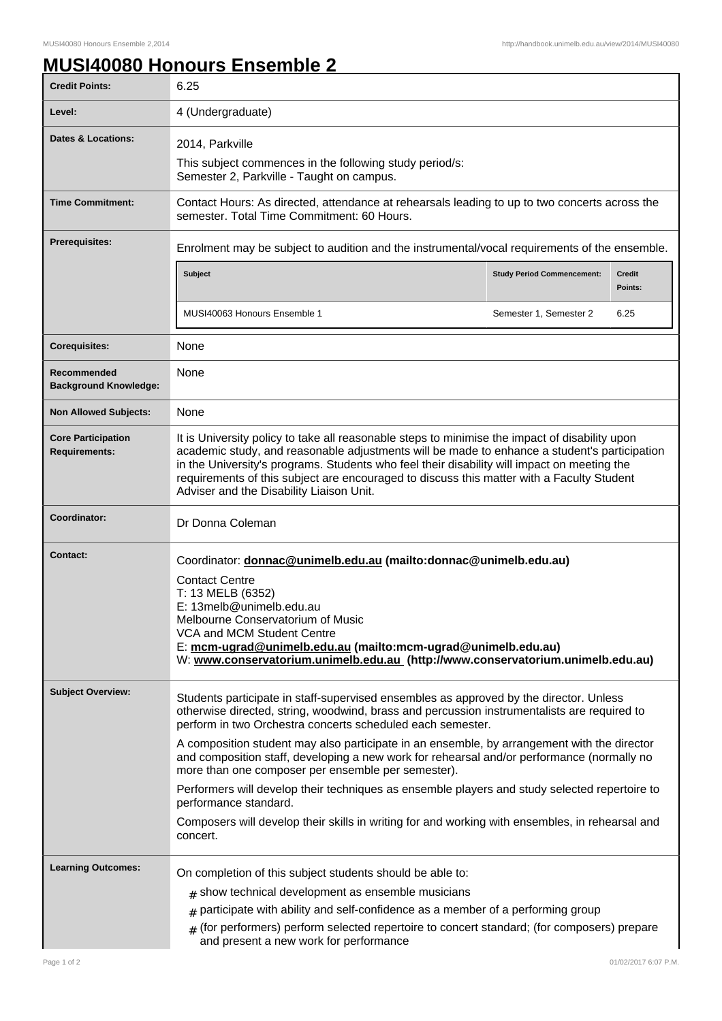## **MUSI40080 Honours Ensemble 2**

| <b>Credit Points:</b>                             | 6.25                                                                                                                                                                                                                                                                                                                                                                                                                                   |                                   |                          |
|---------------------------------------------------|----------------------------------------------------------------------------------------------------------------------------------------------------------------------------------------------------------------------------------------------------------------------------------------------------------------------------------------------------------------------------------------------------------------------------------------|-----------------------------------|--------------------------|
| Level:                                            | 4 (Undergraduate)                                                                                                                                                                                                                                                                                                                                                                                                                      |                                   |                          |
| <b>Dates &amp; Locations:</b>                     | 2014, Parkville                                                                                                                                                                                                                                                                                                                                                                                                                        |                                   |                          |
|                                                   | This subject commences in the following study period/s:<br>Semester 2, Parkville - Taught on campus.                                                                                                                                                                                                                                                                                                                                   |                                   |                          |
| <b>Time Commitment:</b>                           | Contact Hours: As directed, attendance at rehearsals leading to up to two concerts across the<br>semester. Total Time Commitment: 60 Hours.                                                                                                                                                                                                                                                                                            |                                   |                          |
| <b>Prerequisites:</b>                             | Enrolment may be subject to audition and the instrumental/vocal requirements of the ensemble.                                                                                                                                                                                                                                                                                                                                          |                                   |                          |
|                                                   | <b>Subject</b>                                                                                                                                                                                                                                                                                                                                                                                                                         | <b>Study Period Commencement:</b> | <b>Credit</b><br>Points: |
|                                                   | MUSI40063 Honours Ensemble 1                                                                                                                                                                                                                                                                                                                                                                                                           | Semester 1, Semester 2            | 6.25                     |
| <b>Corequisites:</b>                              | None                                                                                                                                                                                                                                                                                                                                                                                                                                   |                                   |                          |
| Recommended<br><b>Background Knowledge:</b>       | None                                                                                                                                                                                                                                                                                                                                                                                                                                   |                                   |                          |
| <b>Non Allowed Subjects:</b>                      | None                                                                                                                                                                                                                                                                                                                                                                                                                                   |                                   |                          |
| <b>Core Participation</b><br><b>Requirements:</b> | It is University policy to take all reasonable steps to minimise the impact of disability upon<br>academic study, and reasonable adjustments will be made to enhance a student's participation<br>in the University's programs. Students who feel their disability will impact on meeting the<br>requirements of this subject are encouraged to discuss this matter with a Faculty Student<br>Adviser and the Disability Liaison Unit. |                                   |                          |
| Coordinator:                                      | Dr Donna Coleman                                                                                                                                                                                                                                                                                                                                                                                                                       |                                   |                          |
| <b>Contact:</b>                                   | Coordinator: donnac@unimelb.edu.au (mailto:donnac@unimelb.edu.au)<br><b>Contact Centre</b><br>T: 13 MELB (6352)<br>E: 13melb@unimelb.edu.au<br>Melbourne Conservatorium of Music<br>VCA and MCM Student Centre<br>E: mcm-ugrad@unimelb.edu.au (mailto:mcm-ugrad@unimelb.edu.au)<br>W: www.conservatorium.unimelb.edu.au (http://www.conservatorium.unimelb.edu.au)                                                                     |                                   |                          |
| <b>Subject Overview:</b>                          | Students participate in staff-supervised ensembles as approved by the director. Unless<br>otherwise directed, string, woodwind, brass and percussion instrumentalists are required to<br>perform in two Orchestra concerts scheduled each semester.<br>A composition student may also participate in an ensemble, by arrangement with the director                                                                                     |                                   |                          |
|                                                   | and composition staff, developing a new work for rehearsal and/or performance (normally no<br>more than one composer per ensemble per semester).                                                                                                                                                                                                                                                                                       |                                   |                          |
|                                                   | Performers will develop their techniques as ensemble players and study selected repertoire to<br>performance standard.                                                                                                                                                                                                                                                                                                                 |                                   |                          |
|                                                   | Composers will develop their skills in writing for and working with ensembles, in rehearsal and<br>concert.                                                                                                                                                                                                                                                                                                                            |                                   |                          |
| <b>Learning Outcomes:</b>                         | On completion of this subject students should be able to:                                                                                                                                                                                                                                                                                                                                                                              |                                   |                          |
|                                                   | $#$ show technical development as ensemble musicians                                                                                                                                                                                                                                                                                                                                                                                   |                                   |                          |
|                                                   | $#$ participate with ability and self-confidence as a member of a performing group                                                                                                                                                                                                                                                                                                                                                     |                                   |                          |
|                                                   | $#$ (for performers) perform selected repertoire to concert standard; (for composers) prepare<br>and present a new work for performance                                                                                                                                                                                                                                                                                                |                                   |                          |